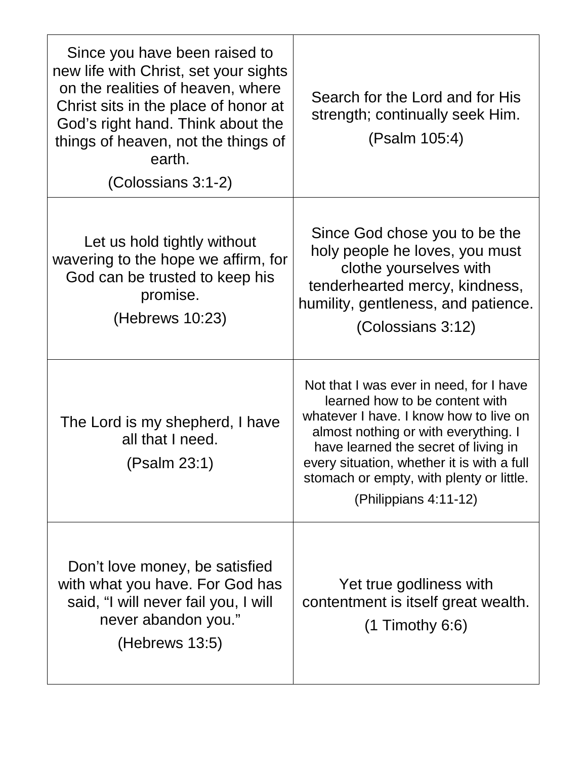| Since you have been raised to<br>new life with Christ, set your sights<br>on the realities of heaven, where<br>Christ sits in the place of honor at<br>God's right hand. Think about the<br>things of heaven, not the things of<br>earth.<br>(Colossians 3:1-2) | Search for the Lord and for His<br>strength; continually seek Him.<br>(Psalm 105:4)                                                                                                                                                                                                                                    |
|-----------------------------------------------------------------------------------------------------------------------------------------------------------------------------------------------------------------------------------------------------------------|------------------------------------------------------------------------------------------------------------------------------------------------------------------------------------------------------------------------------------------------------------------------------------------------------------------------|
| Let us hold tightly without<br>wavering to the hope we affirm, for<br>God can be trusted to keep his<br>promise.<br>(Hebrews 10:23)                                                                                                                             | Since God chose you to be the<br>holy people he loves, you must<br>clothe yourselves with<br>tenderhearted mercy, kindness,<br>humility, gentleness, and patience.<br>(Colossians 3:12)                                                                                                                                |
| The Lord is my shepherd, I have<br>all that I need.<br>(Psalm 23:1)                                                                                                                                                                                             | Not that I was ever in need, for I have<br>learned how to be content with<br>whatever I have. I know how to live on<br>almost nothing or with everything. I<br>have learned the secret of living in<br>every situation, whether it is with a full<br>stomach or empty, with plenty or little.<br>(Philippians 4:11-12) |
| Don't love money, be satisfied<br>with what you have. For God has<br>said, "I will never fail you, I will<br>never abandon you."<br>(Hebrews 13:5)                                                                                                              | Yet true godliness with<br>contentment is itself great wealth.<br>$(1$ Timothy 6:6)                                                                                                                                                                                                                                    |